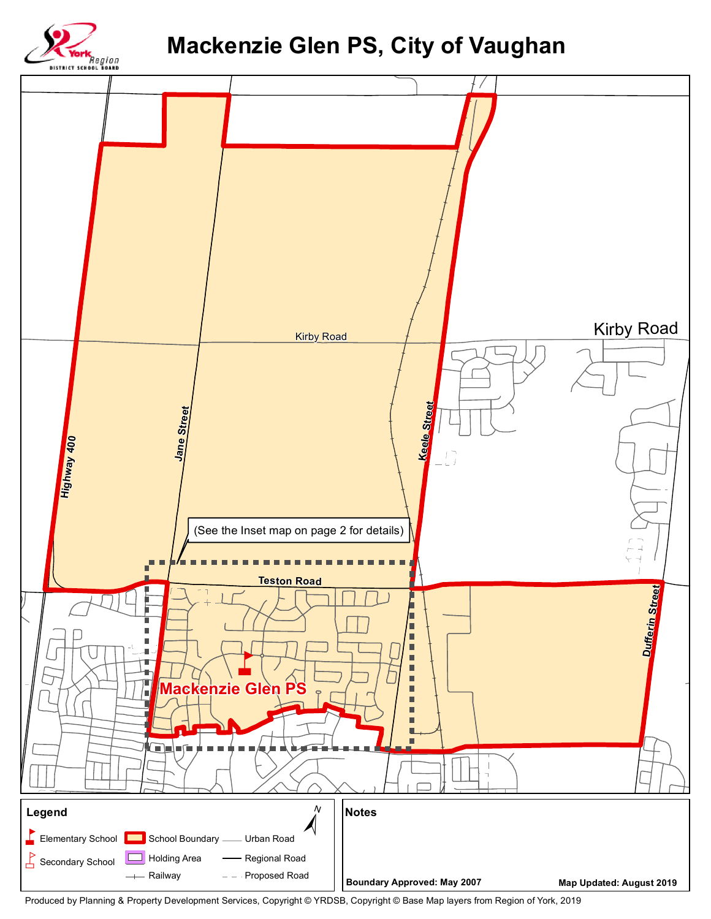

## **Mackenzie Glen PS, City of Vaughan**



Produced by Planning & Property Development Services, Copyright © YRDSB, Copyright © Base Map layers from Region of York, 2019